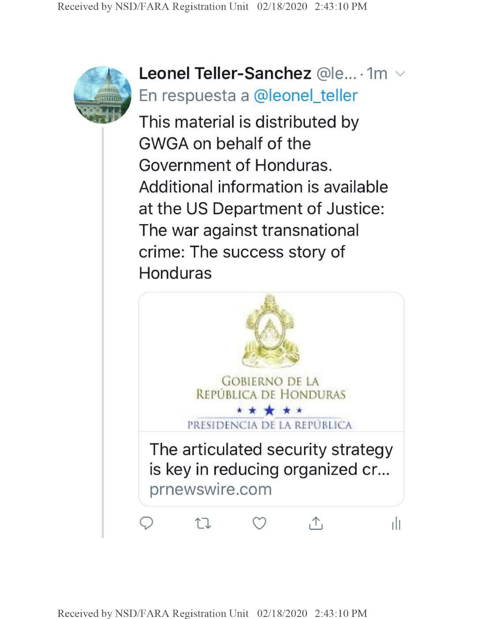

**Leonel Teller-Sanchez** @le... · 1m  $\vee$ En respuesta a @leonel\_teller

This material is distributed by GWGA on behalf of the Government of Honduras. Additional information is available at the US Department of Justice: The war against transnational crime: The success story of Honduras

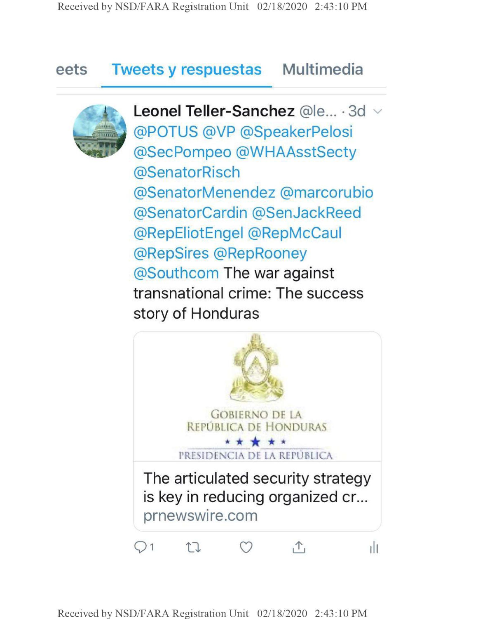## **eets Tweets y respuestas Multimedia**



**Leonel Teller-Sanchez** @le... - 3d @POTUS @VP @SpeakerPelosi @SecPompeo @WHAAsstSecty @SenatorRisch @SenatorMenendez @marcorubio @SenatorCardin @SenJackReed @RepEliotEngel @RepMcCaul @RepSires @RepRooney @Southcom The war against transnational crime: The success story of Honduras

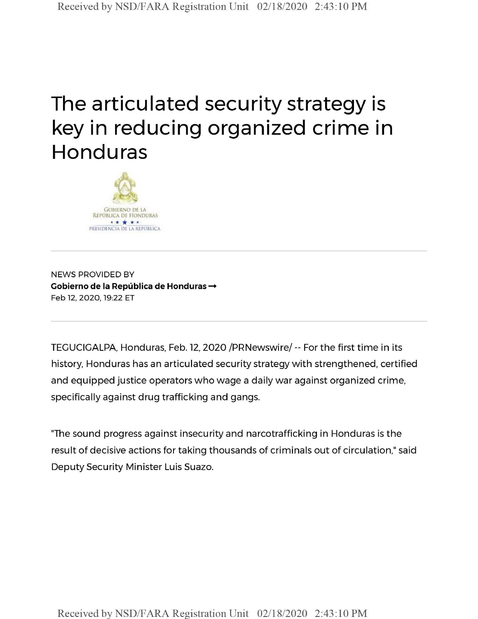## The articulated security strategy is key in reducing organized crime in Honduras



NEWS PROVIDED BY **Cobierno de la Pepublica de Honduras —** Feb 12, 2020,19:22 ET

TEGUCIGALPA, Honduras, Feb. 12, 2020 /PRNewswire/ -- For the first time in its history, Honduras has an articulated security strategy with strengthened, certified and equipped justice operators who wage a daily war against organized crime, specifically against drug trafficking and gangs.

"The sound progress against insecurity and narcotrafficking in Honduras is the result of decisive actions for taking thousands of criminals out of circulation," said Deputy Security Minister Luis Suazo.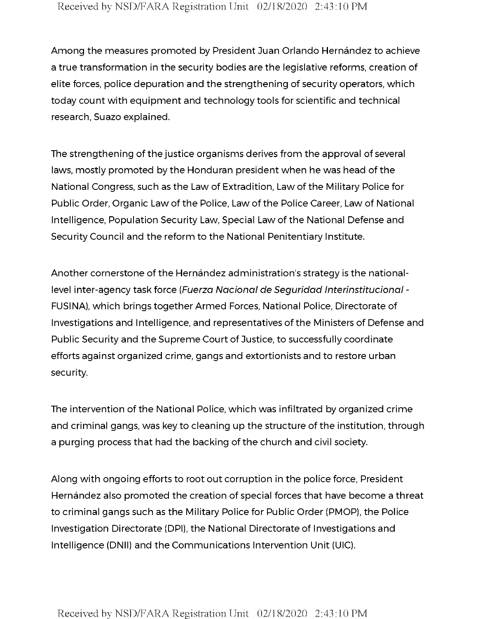Among the measures promoted by President Juan Orlando Hernández to achieve a true transformation in the security bodies are the legislative reforms, creation of elite forces, police depuration and the strengthening of security operators, which today count with equipment and technology tools for scientific and technical research, Suazo explained.

The strengthening of the justice organisms derives from the approval of several laws, mostly promoted by the Honduran president when he was head of the National Congress, such as the Law of Extradition, Law of the Military Police for Public Order, Organic Law of the Police, Law of the Police Career, Law of National Intelligence, Population Security Law, Special Law of the National Defense and Security Council and the reform to the National Penitentiary Institute.

Another cornerstone of the Hernández administration's strategy is the nationallevel inter-agency task force *(Fuerza Naciortal de Seguridad Interinstitucional -* FUSINA), which brings together Armed Forces, National Police, Directorate of Investigations and Intelligence, and representatives of the Ministers of Defense and Public Security and the Supreme Court of Justice, to successfully coordinate efforts against organized crime, gangs and extortionists and to restore urban security.

The intervention of the National Police, which was infiltrated by organized crime and criminal gangs, was key to cleaning up the structure of the institution, through a purging process that had the backing of the church and civil society.

Along with ongoing efforts to root out corruption in the police force, President Hernández also promoted the creation of special forces that have become a threat to criminal gangs such as the Military Police for Public Order (PMOP), the Police Investigation Directorate (DPI), the National Directorate of Investigations and Intelligence (DNII) and the Communications Intervention Unit (UIC).